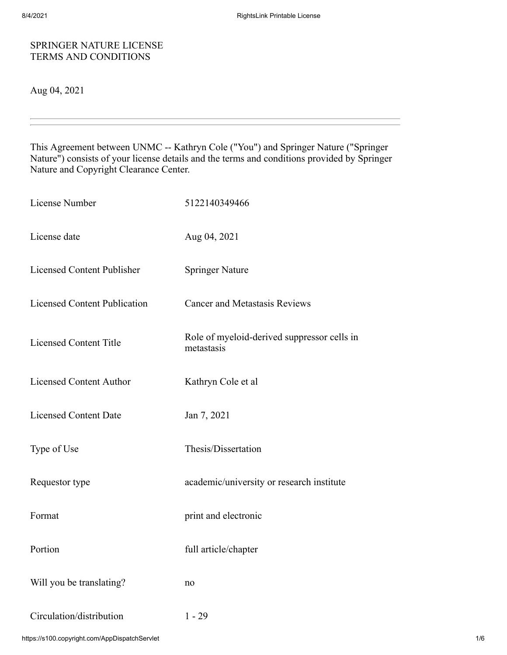#### SPRINGER NATURE LICENSE TERMS AND CONDITIONS

Aug 04, 2021

This Agreement between UNMC -- Kathryn Cole ("You") and Springer Nature ("Springer Nature") consists of your license details and the terms and conditions provided by Springer Nature and Copyright Clearance Center.

| License Number                      | 5122140349466                                             |
|-------------------------------------|-----------------------------------------------------------|
| License date                        | Aug 04, 2021                                              |
| <b>Licensed Content Publisher</b>   | <b>Springer Nature</b>                                    |
| <b>Licensed Content Publication</b> | <b>Cancer and Metastasis Reviews</b>                      |
| <b>Licensed Content Title</b>       | Role of myeloid-derived suppressor cells in<br>metastasis |
| <b>Licensed Content Author</b>      | Kathryn Cole et al                                        |
| <b>Licensed Content Date</b>        | Jan 7, 2021                                               |
| Type of Use                         | Thesis/Dissertation                                       |
| Requestor type                      | academic/university or research institute                 |
| Format                              | print and electronic                                      |
| Portion                             | full article/chapter                                      |
| Will you be translating?            | no                                                        |
| Circulation/distribution            | $1 - 29$                                                  |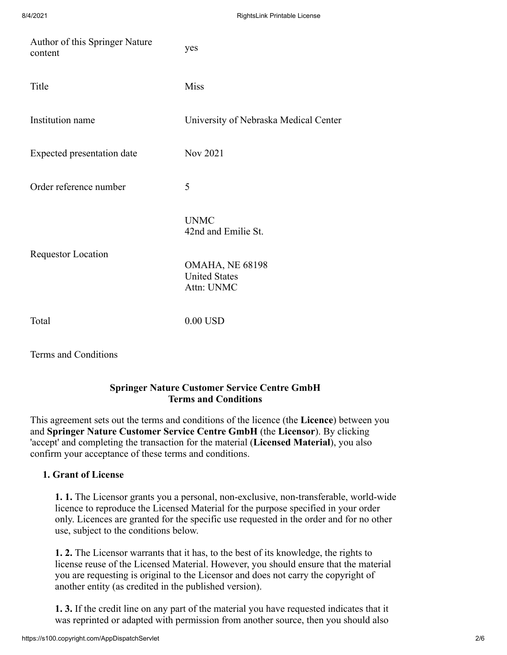| Author of this Springer Nature<br>content | yes                                                   |
|-------------------------------------------|-------------------------------------------------------|
| Title                                     | <b>Miss</b>                                           |
| Institution name                          | University of Nebraska Medical Center                 |
| Expected presentation date                | Nov 2021                                              |
| Order reference number                    | 5                                                     |
|                                           | <b>UNMC</b><br>42nd and Emilie St.                    |
| <b>Requestor Location</b>                 | OMAHA, NE 68198<br><b>United States</b><br>Attn: UNMC |
| Total                                     | $0.00$ USD                                            |

Terms and Conditions

# **Springer Nature Customer Service Centre GmbH Terms and Conditions**

This agreement sets out the terms and conditions of the licence (the **Licence**) between you and **Springer Nature Customer Service Centre GmbH** (the **Licensor**). By clicking 'accept' and completing the transaction for the material (**Licensed Material**), you also confirm your acceptance of these terms and conditions.

# **1. Grant of License**

**1. 1.** The Licensor grants you a personal, non-exclusive, non-transferable, world-wide licence to reproduce the Licensed Material for the purpose specified in your order only. Licences are granted for the specific use requested in the order and for no other use, subject to the conditions below.

**1. 2.** The Licensor warrants that it has, to the best of its knowledge, the rights to license reuse of the Licensed Material. However, you should ensure that the material you are requesting is original to the Licensor and does not carry the copyright of another entity (as credited in the published version).

**1. 3.** If the credit line on any part of the material you have requested indicates that it was reprinted or adapted with permission from another source, then you should also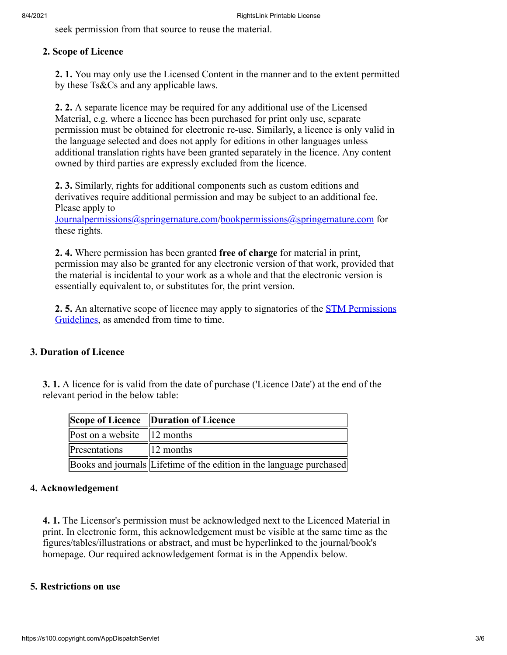seek permission from that source to reuse the material.

# **2. Scope of Licence**

**2. 1.** You may only use the Licensed Content in the manner and to the extent permitted by these Ts&Cs and any applicable laws.

**2. 2.** A separate licence may be required for any additional use of the Licensed Material, e.g. where a licence has been purchased for print only use, separate permission must be obtained for electronic re-use. Similarly, a licence is only valid in the language selected and does not apply for editions in other languages unless additional translation rights have been granted separately in the licence. Any content owned by third parties are expressly excluded from the licence.

**2. 3.** Similarly, rights for additional components such as custom editions and derivatives require additional permission and may be subject to an additional fee. Please apply to

 $Journal$ <sup>g</sup>  $\frac{1}{2}$   $\frac{1}{2}$   $\frac{1}{2}$   $\frac{1}{2}$   $\frac{1}{2}$   $\frac{1}{2}$   $\frac{1}{2}$   $\frac{1}{2}$   $\frac{1}{2}$   $\frac{1}{2}$   $\frac{1}{2}$   $\frac{1}{2}$   $\frac{1}{2}$   $\frac{1}{2}$   $\frac{1}{2}$   $\frac{1}{2}$   $\frac{1}{2}$   $\frac{1}{2}$   $\frac{1}{2}$   $\frac{1}{2}$   $\frac{1}{2}$   $\frac{$ these rights.

**2. 4.** Where permission has been granted **free of charge** for material in print, permission may also be granted for any electronic version of that work, provided that the material is incidental to your work as a whole and that the electronic version is essentially equivalent to, or substitutes for, the print version.

**2. 5.** An alternative scope of licence may apply to signatories of the **STM Permissions** Guidelines, as amended from time to time.

# **3. Duration of Licence**

**3. 1.** A licence for is valid from the date of purchase ('Licence Date') at the end of the relevant period in the below table:

|                                 | Scope of Licence Duration of Licence                                 |
|---------------------------------|----------------------------------------------------------------------|
| Post on a website $\ 12$ months |                                                                      |
| Presentations                   | $\parallel$ 12 months                                                |
|                                 | Books and journals Lifetime of the edition in the language purchased |

# **4. Acknowledgement**

**4. 1.** The Licensor's permission must be acknowledged next to the Licenced Material in print. In electronic form, this acknowledgement must be visible at the same time as the figures/tables/illustrations or abstract, and must be hyperlinked to the journal/book's homepage. Our required acknowledgement format is in the Appendix below.

# **5. Restrictions on use**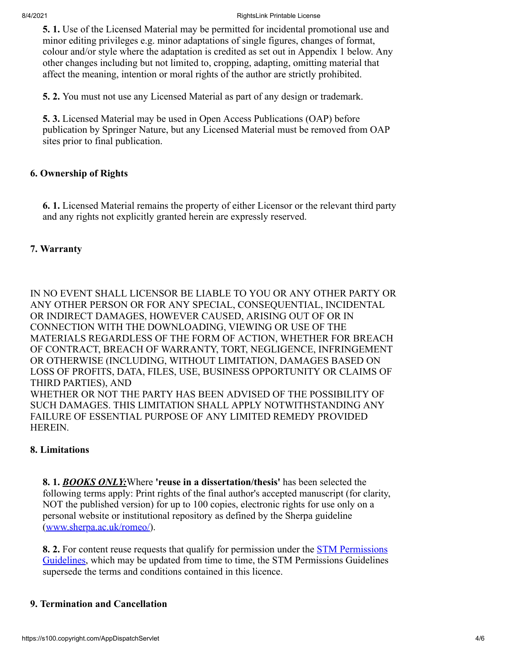**5. 1.** Use of the Licensed Material may be permitted for incidental promotional use and minor editing privileges e.g. minor adaptations of single figures, changes of format, colour and/or style where the adaptation is credited as set out in Appendix 1 below. Any other changes including but not limited to, cropping, adapting, omitting material that affect the meaning, intention or moral rights of the author are strictly prohibited.

**5. 2.** You must not use any Licensed Material as part of any design or trademark.

**5. 3.** Licensed Material may be used in Open Access Publications (OAP) before publication by Springer Nature, but any Licensed Material must be removed from OAP sites prior to final publication.

# **6. Ownership of Rights**

**6. 1.** Licensed Material remains the property of either Licensor or the relevant third party and any rights not explicitly granted herein are expressly reserved.

# **7. Warranty**

IN NO EVENT SHALL LICENSOR BE LIABLE TO YOU OR ANY OTHER PARTY OR ANY OTHER PERSON OR FOR ANY SPECIAL, CONSEQUENTIAL, INCIDENTAL OR INDIRECT DAMAGES, HOWEVER CAUSED, ARISING OUT OF OR IN CONNECTION WITH THE DOWNLOADING, VIEWING OR USE OF THE MATERIALS REGARDLESS OF THE FORM OF ACTION, WHETHER FOR BREACH OF CONTRACT, BREACH OF WARRANTY, TORT, NEGLIGENCE, INFRINGEMENT OR OTHERWISE (INCLUDING, WITHOUT LIMITATION, DAMAGES BASED ON LOSS OF PROFITS, DATA, FILES, USE, BUSINESS OPPORTUNITY OR CLAIMS OF THIRD PARTIES), AND WHETHER OR NOT THE PARTY HAS BEEN ADVISED OF THE POSSIBILITY OF SUCH DAMAGES. THIS LIMITATION SHALL APPLY NOTWITHSTANDING ANY FAILURE OF ESSENTIAL PURPOSE OF ANY LIMITED REMEDY PROVIDED

# **8. Limitations**

HEREIN.

**8. 1.** *BOOKS ONLY:*Where **'reuse in a dissertation/thesis'** has been selected the following terms apply: Print rights of the final author's accepted manuscript (for clarity, NOT the published version) for up to 100 copies, electronic rights for use only on a personal website or institutional repository as defined by the Sherpa guideline [\(www.sherpa.ac.uk/romeo/](http://www.sherpa.ac.uk/romeo/)).

**8. 2.** For content reuse requests that qualify for permission under the STM Permissions [Guidelines, which may be updated from time to time, the STM Permissions Guidelines](https://www.stm-assoc.org/2020_09_30_STM_Permission_Guidelines_2020.pdf) supersede the terms and conditions contained in this licence.

# **9. Termination and Cancellation**